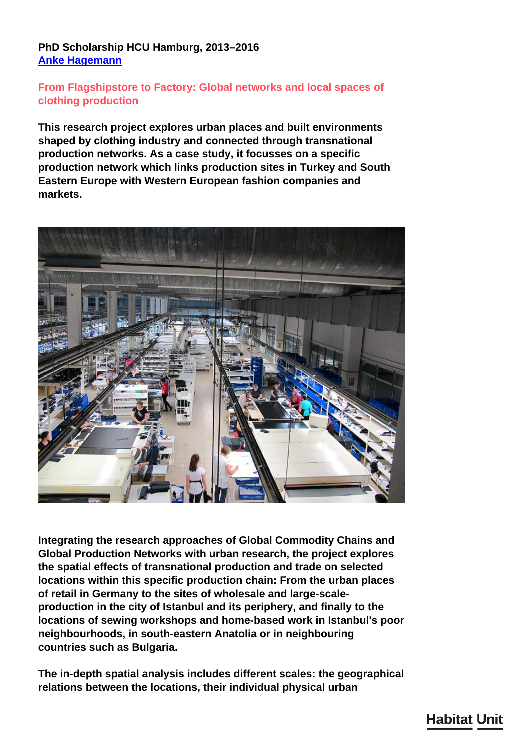## **PhD Scholarship HCU Hamburg, 2013–2016 [Anke Hagemann](/en/team/anke-hagemann/)**

## **From Flagshipstore to Factory: Global networks and local spaces of clothing production**

**This research project explores urban places and built environments shaped by clothing industry and connected through transnational production networks. As a case study, it focusses on a specific production network which links production sites in Turkey and South Eastern Europe with Western European fashion companies and markets.**



**Integrating the research approaches of Global Commodity Chains and Global Production Networks with urban research, the project explores the spatial effects of transnational production and trade on selected locations within this specific production chain: From the urban places of retail in Germany to the sites of wholesale and large-scaleproduction in the city of Istanbul and its periphery, and finally to the locations of sewing workshops and home-based work in Istanbul's poor neighbourhoods, in south-eastern Anatolia or in neighbouring countries such as Bulgaria.**

**The in-depth spatial analysis includes different scales: the geographical relations between the locations, their individual physical urban**

## **Habitat Unit**